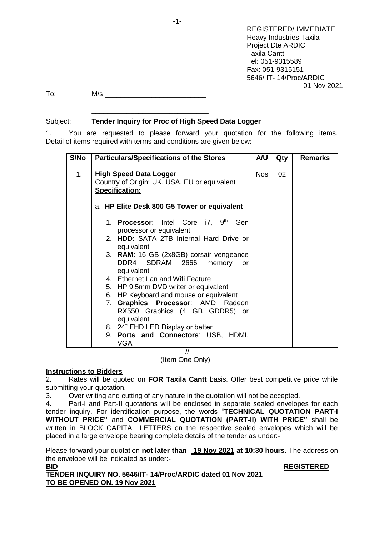REGISTERED/ IMMEDIATE Heavy Industries Taxila Project Dte ARDIC Taxila Cantt Tel: 051-9315589 Fax: 051-9315151 5646/ IT- 14/Proc/ARDIC 01 Nov 2021

To: M/s \_\_\_\_\_\_\_\_\_\_\_\_\_\_\_\_\_\_\_\_\_\_\_\_\_\_ \_\_\_\_\_\_\_\_\_\_\_\_\_\_\_\_\_\_\_\_\_\_\_\_\_\_\_\_\_\_

# Subject: **Tender Inquiry for Proc of High Speed Data Logger**

\_\_\_\_\_\_\_\_\_\_\_\_\_\_\_\_\_\_\_\_\_\_\_\_\_\_\_\_\_\_

1. You are requested to please forward your quotation for the following items. Detail of items required with terms and conditions are given below:-

| S/No | <b>Particulars/Specifications of the Stores</b>                                          | A/U | Qty | <b>Remarks</b> |
|------|------------------------------------------------------------------------------------------|-----|-----|----------------|
| 1.   | <b>High Speed Data Logger</b><br>Country of Origin: UK, USA, EU or equivalent            | Nos | 02  |                |
|      | <b>Specification:</b>                                                                    |     |     |                |
|      | a. HP Elite Desk 800 G5 Tower or equivalent                                              |     |     |                |
|      | 1. Processor: Intel Core i7, 9th<br>Gen<br>processor or equivalent                       |     |     |                |
|      | 2. HDD: SATA 2TB Internal Hard Drive or<br>equivalent                                    |     |     |                |
|      | 3. RAM: 16 GB (2x8GB) corsair vengeance<br>DDR4 SDRAM 2666<br>memory<br>or<br>equivalent |     |     |                |
|      | 4. Ethernet Lan and Wifi Feature                                                         |     |     |                |
|      | 5. HP 9.5mm DVD writer or equivalent                                                     |     |     |                |
|      | 6. HP Keyboard and mouse or equivalent                                                   |     |     |                |
|      | 7. Graphics Processor: AMD Radeon<br>RX550 Graphics (4 GB GDDR5) or<br>equivalent        |     |     |                |
|      | 8. 24" FHD LED Display or better                                                         |     |     |                |
|      | 9. Ports and Connectors: USB, HDMI,<br><b>VGA</b>                                        |     |     |                |
|      |                                                                                          |     |     |                |

(Item One Only)

## **Instructions to Bidders**

2. Rates will be quoted on **FOR Taxila Cantt** basis. Offer best competitive price while submitting your quotation.

3. Over writing and cutting of any nature in the quotation will not be accepted.

4. Part-I and Part-II quotations will be enclosed in separate sealed envelopes for each tender inquiry. For identification purpose, the words "**TECHNICAL QUOTATION PART-I WITHOUT PRICE"** and **COMMERCIAL QUOTATION (PART-II) WITH PRICE"** shall be written in BLOCK CAPITAL LETTERS on the respective sealed envelopes which will be placed in a large envelope bearing complete details of the tender as under:-

Please forward your quotation **not later than 19 Nov 2021 at 10:30 hours**. The address on the envelope will be indicated as under:-

**BID REGISTERED**

**TENDER INQUIRY NO. 5646/IT- 14/Proc/ARDIC dated 01 Nov 2021 TO BE OPENED ON. 19 Nov 2021**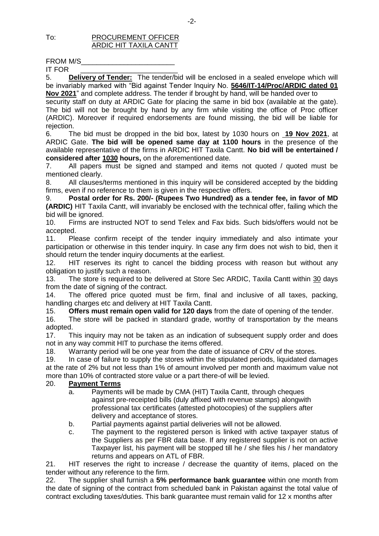### To: PROCUREMENT OFFICER ARDIC HIT TAXILA CANTT

IT FOR

5. **Delivery of Tender:** The tender/bid will be enclosed in a sealed envelope which will be invariably marked with "Bid against Tender Inquiry No. **5646/IT-14/Proc/ARDIC dated 01 Nov 2021**" and complete address. The tender if brought by hand, will be handed over to

security staff on duty at ARDIC Gate for placing the same in bid box (available at the gate). The bid will not be brought by hand by any firm while visiting the office of Proc officer (ARDIC). Moreover if required endorsements are found missing, the bid will be liable for rejection.

6. The bid must be dropped in the bid box, latest by 1030 hours on **19 Nov 2021**, at ARDIC Gate. **The bid will be opened same day at 1100 hours** in the presence of the available representative of the firms in ARDIC HIT Taxila Cantt. **No bid will be entertained / considered after 1030 hours,** on the aforementioned date.

7. All papers must be signed and stamped and items not quoted / quoted must be mentioned clearly.

8. All clauses/terms mentioned in this inquiry will be considered accepted by the bidding firms, even if no reference to them is given in the respective offers.

9. **Postal order for Rs. 200/- (Rupees Two Hundred) as a tender fee, in favor of MD (ARDIC)** HIT Taxila Cantt, will invariably be enclosed with the technical offer, failing which the bid will be ignored.

10. Firms are instructed NOT to send Telex and Fax bids. Such bids/offers would not be accepted.

11. Please confirm receipt of the tender inquiry immediately and also intimate your participation or otherwise in this tender inquiry. In case any firm does not wish to bid, then it should return the tender inquiry documents at the earliest.

12. HIT reserves its right to cancel the bidding process with reason but without any obligation to justify such a reason.

13. The store is required to be delivered at Store Sec ARDIC, Taxila Cantt within 30 days from the date of signing of the contract.

14. The offered price quoted must be firm, final and inclusive of all taxes, packing, handling charges etc and delivery at HIT Taxila Cantt.

15. **Offers must remain open valid for 120 days** from the date of opening of the tender.

16. The store will be packed in standard grade, worthy of transportation by the means adopted.

17. This inquiry may not be taken as an indication of subsequent supply order and does not in any way commit HIT to purchase the items offered.

18. Warranty period will be one year from the date of issuance of CRV of the stores.

19. In case of failure to supply the stores within the stipulated periods, liquidated damages at the rate of 2% but not less than 1% of amount involved per month and maximum value not more than 10% of contracted store value or a part there-of will be levied.

## 20. **Payment Terms**

- a. Payments will be made by CMA (HIT) Taxila Cantt, through cheques against pre-receipted bills (duly affixed with revenue stamps) alongwith professional tax certificates (attested photocopies) of the suppliers after delivery and acceptance of stores.
- b. Partial payments against partial deliveries will not be allowed.
- c. The payment to the registered person is linked with active taxpayer status of the Suppliers as per FBR data base. If any registered supplier is not on active Taxpayer list, his payment will be stopped till he / she files his / her mandatory returns and appears on ATL of FBR.

21. HIT reserves the right to increase / decrease the quantity of items, placed on the tender without any reference to the firm.

22. The supplier shall furnish a **5% performance bank guarantee** within one month from the date of signing of the contract from scheduled bank in Pakistan against the total value of contract excluding taxes/duties. This bank guarantee must remain valid for 12 x months after